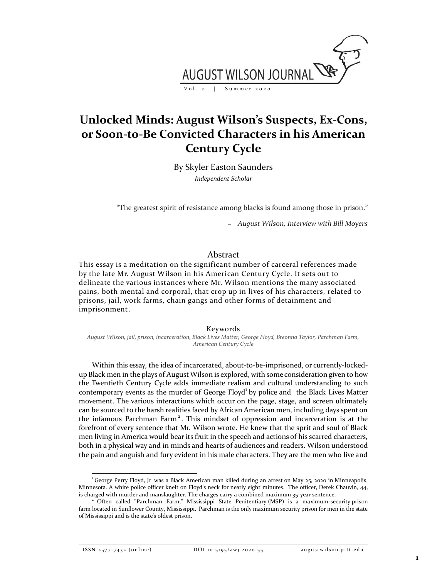

# **Unlocked Minds: August Wilson's Suspects, Ex-Cons, or Soon-to-Be Convicted Characters in his American Century Cycle**

By Skyler Easton Saunders *Independent Scholar*

"The greatest spirit of resistance among blacks is found among those in prison."

− *August Wilson, Interview with Bill Moyers*

## Abstract

This essay is a meditation on the significant number of carceral references made by the late Mr. August Wilson in his American Century Cycle. It sets out to delineate the various instances where Mr. Wilson mentions the many associated pains, both mental and corporal, that crop up in lives of his characters, related to prisons, jail, work farms, chain gangs and other forms of detainment and imprisonment.

#### Keywords

*August Wilson, jail, prison, incarceration, Black Lives Matter, George Floyd, Breonna Taylor, Parchman Farm, American Century Cycle*

Within this essay, the idea of incarcerated, about-to-be-imprisoned, or currently-lockedup Black men in the plays of August Wilson is explored, with some consideration given to how the Twentieth Century Cycle adds immediate realism and cultural understanding to such contemporary events as the murder of George Floyd<sup>1</sup> by police and the Black Lives Matter movement. The various interactions which occur on the page, stage, and screen ultimately can be sourced to the harsh realities faced by African American men, including days spent on the infamous Parchman Farm<sup>2</sup>. This mindset of oppression and incarceration is at the forefront of every sentence that Mr. Wilson wrote. He knew that the sprit and soul of Black men living in America would bear its fruit in the speech and actions of his scarred characters, both in a physical way and in minds and hearts of audiences and readers. Wilson understood the pain and anguish and fury evident in his male characters. They are the men who live and

ISSN 2577-7432 (online) DOI 10.5195/awj.2020.55 augustwilson.pitt.edu

<sup>1</sup> George Perry Floyd, Jr. was a Black American man killed during an arrest on May 25, 2020 in Minneapolis, Minnesota. A white police officer knelt on Floyd's neck for nearly eight minutes. The officer, Derek Chauvin, 44, is charged with murder and manslaughter. The charges carry a combined maximum 35-year sentence.

<sup>2</sup> Often called "Parchman Farm," Mississippi State Penitentiary (MSP) is a maximum-security prison farm located in Sunflower County, Mississippi. Parchman is the only maximum security prison for men in the state of Mississippi and is the state's oldest prison.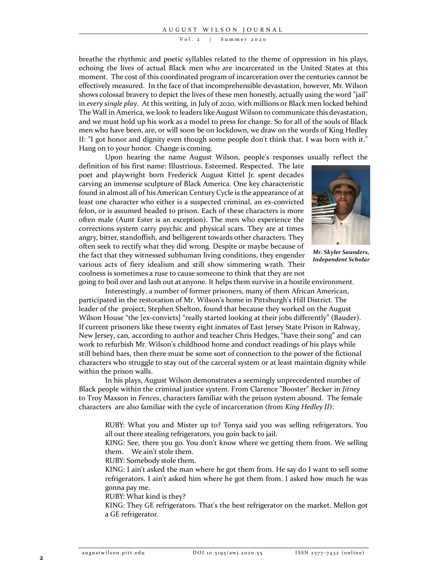V o l. 2 | Summer 2020

breathe the rhythmic and poetic syllables related to the theme of oppression in his plays, echoing the lives of actual Black men who are incarcerated in the United States at this moment. The cost of this coordinated program of incarceration over the centuries cannot be effectively measured. In the face of that incomprehensible devastation, however, Mr. Wilson shows colossal bravery to depict the lives of these men honestly, actually using the word "jail" in *every single play*. At this writing, in July of 2020, with millions or Black men locked behind The Wall in America, we look to leaders like August Wilson to communicate this devastation, and we must hold up his work as a model to press for change. So for all of the souls of Black men who have been, are, or will soon be on lockdown, we draw on the words of King Hedley II: "I got honor and dignity even though some people don't think that. I was born with it." Hang on to your honor. Change is coming.

Upon hearing the name August Wilson, people's responses usually reflect the

definition of his first name: Illustrious. Esteemed. Respected. The late poet and playwright born Frederick August Kittel Jr. spent decades carving an immense sculpture of Black America. One key characteristic found in almost all of his American Century Cycle is the appearance of at least one character who either is a suspected criminal, an ex-convicted felon, or is assumed headed to prison. Each of these characters is more often male (Aunt Ester is an exception). The men who experience the corrections system carry psychic and physical scars. They are at times angry, bitter, standoffish, and belligerent towards other characters. They often seek to rectify what they did wrong. Despite or maybe because of the fact that they witnessed subhuman living conditions, they engender various acts of fiery idealism and still show simmering wrath. Their coolness is sometimes a ruse to cause someone to think that they are not



*Mr. Skyler Saunders, Independent Scholar*

going to boil over and lash out at anyone. It helps them survive in a hostile environment. Interestingly, a number of former prisoners, many of them African American, participated in the restoration of Mr. Wilson's home in Pittsburgh's Hill District. The leader of the project, Stephen Shelton, found that because they worked on the August Wilson House "the [ex-convicts] "really started looking at their jobs differently" (Bauder). If current prisoners like these twenty eight inmates of East Jersey State Prison in Rahway, New Jersey, can, according to author and teacher Chris Hedges, "have their song" and can work to refurbish Mr. Wilson's childhood home and conduct readings of his plays while still behind bars, then there must be some sort of connection to the power of the fictional characters who struggle to stay out of the carceral system or at least maintain dignity while within the prison walls.

In his plays, August Wilson demonstrates a seemingly unprecedented number of Black people within the criminal justice system. From Clarence "Booster" Becker in *Jitney* to Troy Maxson in *Fences*, characters familiar with the prison system abound. The female characters are also familiar with the cycle of incarceration (from *King Hedley II*):

RUBY: What you and Mister up to? Tonya said you was selling refrigerators. You all out there stealing refrigerators, you goin back to jail.

KING: See, there you go. You don't know where we getting them from. We selling them. We ain't stole them.

RUBY: Somebody stole them.

KING: I ain't asked the man where he got them from. He say do I want to sell some refrigerators. I ain't asked him where he got them from. I asked how much he was gonna pay me.

RUBY: What kind is they?

KING: They GE refrigerators. That's the best refrigerator on the market. Mellon got a GE refrigerator.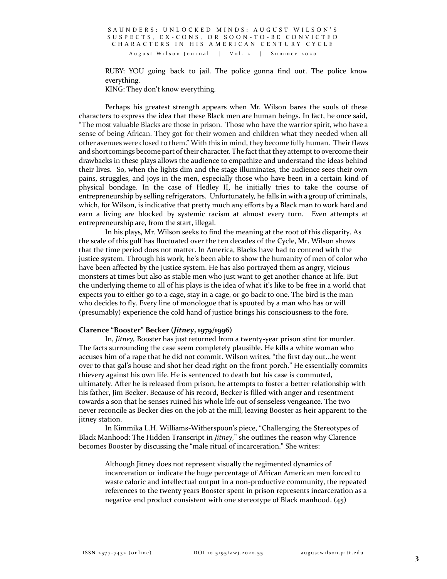August Wilson Journal | Vol. 2 | Summer 2020

RUBY: YOU going back to jail. The police gonna find out. The police know everything.

KING: They don't know everything.

Perhaps his greatest strength appears when Mr. Wilson bares the souls of these characters to express the idea that these Black men are human beings. In fact, he once said, "The most valuable Blacks are those in prison. Those who have the warrior spirit, who have a sense of being African. They got for their women and children what they needed when all other avenues were closed to them." With this in mind, they become fully human. Their flaws and shortcomings become part of their character. The fact that they attempt to overcome their drawbacks in these plays allows the audience to empathize and understand the ideas behind their lives. So, when the lights dim and the stage illuminates, the audience sees their own pains, struggles, and joys in the men, especially those who have been in a certain kind of physical bondage. In the case of Hedley II, he initially tries to take the course of entrepreneurship by selling refrigerators. Unfortunately, he falls in with a group of criminals, which, for Wilson, is indicative that pretty much any efforts by a Black man to work hard and earn a living are blocked by systemic racism at almost every turn. Even attempts at entrepreneurship are, from the start, illegal.

In his plays, Mr. Wilson seeks to find the meaning at the root of this disparity. As the scale of this gulf has fluctuated over the ten decades of the Cycle, Mr. Wilson shows that the time period does not matter. In America, Blacks have had to contend with the justice system. Through his work, he's been able to show the humanity of men of color who have been affected by the justice system. He has also portrayed them as angry, vicious monsters at times but also as stable men who just want to get another chance at life. But the underlying theme to all of his plays is the idea of what it's like to be free in a world that expects you to either go to a cage, stay in a cage, or go back to one. The bird is the man who decides to fly. Every line of monologue that is spouted by a man who has or will (presumably) experience the cold hand of justice brings his consciousness to the fore.

## **Clarence "Booster" Becker (***Jitney***, 1979/1996)**

In, *Jitney,* Booster has just returned from a twenty-year prison stint for murder. The facts surrounding the case seem completely plausible. He kills a white woman who accuses him of a rape that he did not commit. Wilson writes, "the first day out...he went over to that gal's house and shot her dead right on the front porch." He essentially commits thievery against his own life. He is sentenced to death but his case is commuted, ultimately. After he is released from prison, he attempts to foster a better relationship with his father, Jim Becker. Because of his record, Becker is filled with anger and resentment towards a son that he senses ruined his whole life out of senseless vengeance. The two never reconcile as Becker dies on the job at the mill, leaving Booster as heir apparent to the jitney station.

In Kimmika L.H. Williams-Witherspoon's piece, "Challenging the Stereotypes of Black Manhood: The Hidden Transcript in *Jitney,*" she outlines the reason why Clarence becomes Booster by discussing the "male ritual of incarceration." She writes:

Although Jitney does not represent visually the regimented dynamics of incarceration or indicate the huge percentage of African American men forced to waste caloric and intellectual output in a non-productive community, the repeated references to the twenty years Booster spent in prison represents incarceration as a negative end product consistent with one stereotype of Black manhood. (45)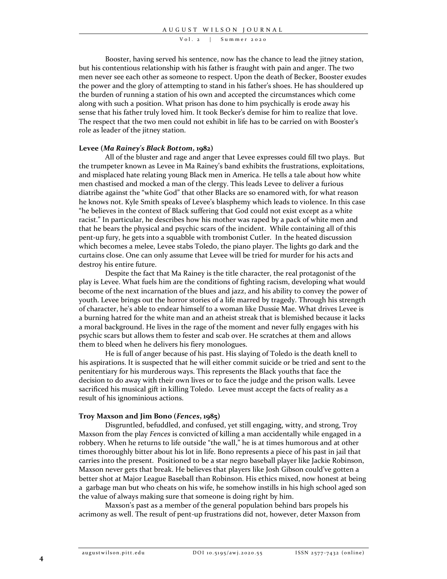$Vol. 2$  | Summer 2020

Booster, having served his sentence, now has the chance to lead the jitney station, but his contentious relationship with his father is fraught with pain and anger. The two men never see each other as someone to respect. Upon the death of Becker, Booster exudes the power and the glory of attempting to stand in his father's shoes. He has shouldered up the burden of running a station of his own and accepted the circumstances which come along with such a position. What prison has done to him psychically is erode away his sense that his father truly loved him. It took Becker's demise for him to realize that love. The respect that the two men could not exhibit in life has to be carried on with Booster's role as leader of the jitney station.

## **Levee (***Ma Rainey's Black Bottom***, 1982)**

All of the bluster and rage and anger that Levee expresses could fill two plays. But the trumpeter known as Levee in Ma Rainey's band exhibits the frustrations, exploitations, and misplaced hate relating young Black men in America. He tells a tale about how white men chastised and mocked a man of the clergy. This leads Levee to deliver a furious diatribe against the "white God" that other Blacks are so enamored with, for what reason he knows not. Kyle Smith speaks of Levee's blasphemy which leads to violence. In this case "he believes in the context of Black suffering that God could not exist except as a white racist." In particular, he describes how his mother was raped by a pack of white men and that he bears the physical and psychic scars of the incident. While containing all of this pent-up fury, he gets into a squabble with trombonist Cutler. In the heated discussion which becomes a melee, Levee stabs Toledo, the piano player. The lights go dark and the curtains close. One can only assume that Levee will be tried for murder for his acts and destroy his entire future.

Despite the fact that Ma Rainey is the title character, the real protagonist of the play is Levee. What fuels him are the conditions of fighting racism, developing what would become of the next incarnation of the blues and jazz, and his ability to convey the power of youth. Levee brings out the horror stories of a life marred by tragedy. Through his strength of character, he's able to endear himself to a woman like Dussie Mae. What drives Levee is a burning hatred for the white man and an atheist streak that is blemished because it lacks a moral background. He lives in the rage of the moment and never fully engages with his psychic scars but allows them to fester and scab over. He scratches at them and allows them to bleed when he delivers his fiery monologues.

He is full of anger because of his past. His slaying of Toledo is the death knell to his aspirations. It is suspected that he will either commit suicide or be tried and sent to the penitentiary for his murderous ways. This represents the Black youths that face the decision to do away with their own lives or to face the judge and the prison walls. Levee sacrificed his musical gift in killing Toledo. Levee must accept the facts of reality as a result of his ignominious actions.

### **Troy Maxson and Jim Bono (***Fences***, 1985)**

Disgruntled, befuddled, and confused, yet still engaging, witty, and strong, Troy Maxson from the play *Fences* is convicted of killing a man accidentally while engaged in a robbery. When he returns to life outside "the wall," he is at times humorous and at other times thoroughly bitter about his lot in life. Bono represents a piece of his past in jail that carries into the present. Positioned to be a star negro baseball player like Jackie Robinson, Maxson never gets that break. He believes that players like Josh Gibson could've gotten a better shot at Major League Baseball than Robinson. His ethics mixed, now honest at being a garbage man but who cheats on his wife, he somehow instills in his high school aged son the value of always making sure that someone is doing right by him.

Maxson's past as a member of the general population behind bars propels his acrimony as well. The result of pent-up frustrations did not, however, deter Maxson from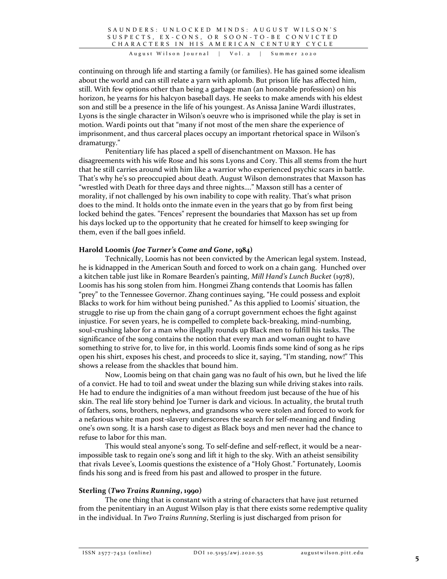SAUNDERS: UNLOCKED MINDS: AUGUST WILSON'S S U S P E C T S , E X - C O N S , O R S O O N - T O - B E C O N V I C T E D CHARACTERS IN HIS AMERICAN CENTURY CYCLE

August Wilson Journal | Vol. 2 | Summer 2020

continuing on through life and starting a family (or families). He has gained some idealism about the world and can still relate a yarn with aplomb. But prison life has affected him, still. With few options other than being a garbage man (an honorable profession) on his horizon, he yearns for his halcyon baseball days. He seeks to make amends with his eldest son and still be a presence in the life of his youngest. As Anissa Janine Wardi illustrates, Lyons is the single character in Wilson's oeuvre who is imprisoned while the play is set in motion. Wardi points out that "many if not most of the men share the experience of imprisonment, and thus carceral places occupy an important rhetorical space in Wilson's dramaturgy."

Penitentiary life has placed a spell of disenchantment on Maxson. He has disagreements with his wife Rose and his sons Lyons and Cory. This all stems from the hurt that he still carries around with him like a warrior who experienced psychic scars in battle. That's why he's so preoccupied about death. August Wilson demonstrates that Maxson has "wrestled with Death for three days and three nights…." Maxson still has a center of morality, if not challenged by his own inability to cope with reality. That's what prison does to the mind. It holds onto the inmate even in the years that go by from first being locked behind the gates. "Fences" represent the boundaries that Maxson has set up from his days locked up to the opportunity that he created for himself to keep swinging for them, even if the ball goes infield.

## **Harold Loomis (***Joe Turner's Come and Gone***, 1984)**

Technically, Loomis has not been convicted by the American legal system. Instead, he is kidnapped in the American South and forced to work on a chain gang. Hunched over a kitchen table just like in Romare Bearden's painting, *Mill Hand's Lunch Bucket* (1978), Loomis has his song stolen from him. Hongmei Zhang contends that Loomis has fallen "prey" to the Tennessee Governor. Zhang continues saying, "He could possess and exploit Blacks to work for him without being punished." As this applied to Loomis' situation, the struggle to rise up from the chain gang of a corrupt government echoes the fight against injustice. For seven years, he is compelled to complete back-breaking, mind-numbing, soul-crushing labor for a man who illegally rounds up Black men to fulfill his tasks. The significance of the song contains the notion that every man and woman ought to have something to strive for, to live for, in this world. Loomis finds some kind of song as he rips open his shirt, exposes his chest, and proceeds to slice it, saying, "I'm standing, now!" This shows a release from the shackles that bound him.

Now, Loomis being on that chain gang was no fault of his own, but he lived the life of a convict. He had to toil and sweat under the blazing sun while driving stakes into rails. He had to endure the indignities of a man without freedom just because of the hue of his skin. The real life story behind Joe Turner is dark and vicious. In actuality, the brutal truth of fathers, sons, brothers, nephews, and grandsons who were stolen and forced to work for a nefarious white man post-slavery underscores the search for self-meaning and finding one's own song. It is a harsh case to digest as Black boys and men never had the chance to refuse to labor for this man.

This would steal anyone's song. To self-define and self-reflect, it would be a nearimpossible task to regain one's song and lift it high to the sky. With an atheist sensibility that rivals Levee's, Loomis questions the existence of a "Holy Ghost." Fortunately, Loomis finds his song and is freed from his past and allowed to prosper in the future.

## **Sterling (***Two Trains Running***, 1990)**

The one thing that is constant with a string of characters that have just returned from the penitentiary in an August Wilson play is that there exists some redemptive quality in the individual. In *Two Trains Running*, Sterling is just discharged from prison for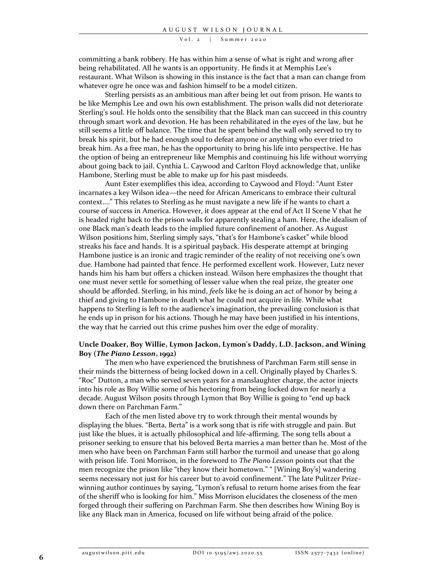V o l. 2 | Summer 2020

committing a bank robbery. He has within him a sense of what is right and wrong after being rehabilitated. All he wants is an opportunity. He finds it at Memphis Lee's restaurant. What Wilson is showing in this instance is the fact that a man can change from whatever ogre he once was and fashion himself to be a model citizen.

Sterling persists as an ambitious man after being let out from prison. He wants to be like Memphis Lee and own his own establishment. The prison walls did not deteriorate Sterling's soul. He holds onto the sensibility that the Black man can succeed in this country through smart work and devotion. He has been rehabilitated in the eyes of the law, but he still seems a little off balance. The time that he spent behind the wall only served to try to break his spirit, but he had enough soul to defeat anyone or anything who ever tried to break him. As a free man, he has the opportunity to bring his life into perspective. He has the option of being an entrepreneur like Memphis and continuing his life without worrying about going back to jail. Cynthia L. Caywood and Carlton Floyd acknowledge that, unlike Hambone, Sterling must be able to make up for his past misdeeds.

Aunt Ester exemplifies this idea, according to Caywood and Floyd: "Aunt Ester incarnates a key Wilson idea—the need for African Americans to embrace their cultural context...." This relates to Sterling as he must navigate a new life if he wants to chart a course of success in America. However, it does appear at the end of Act II Scene V that he is headed right back to the prison walls for apparently stealing a ham. Here, the idealism of one Black man's death leads to the implied future confinement of another. As August Wilson positions him, Sterling simply says, "that's for Hambone's casket" while blood streaks his face and hands. It is a spiritual payback. His desperate attempt at bringing Hambone justice is an ironic and tragic reminder of the reality of not receiving one's own due. Hambone had painted that fence. He performed excellent work. However, Lutz never hands him his ham but offers a chicken instead. Wilson here emphasizes the thought that one must never settle for something of lesser value when the real prize, the greater one should be afforded. Sterling, in his mind, *feels* like he is doing an act of honor by being a thief and giving to Hambone in death what he could not acquire in life. While what happens to Sterling is left to the audience's imagination, the prevailing conclusion is that he ends up in prison for his actions. Though he may have been justified in his intentions, the way that he carried out this crime pushes him over the edge of morality.

## **Uncle Doaker, Boy Willie, Lymon Jackon, Lymon's Daddy, L.D. Jackson, and Wining Boy (***The Piano Lesson***, 1992)**

The men who have experienced the brutishness of Parchman Farm still sense in their minds the bitterness of being locked down in a cell. Originally played by Charles S. "Roc" Dutton, a man who served seven years for a manslaughter charge, the actor injects into his role as Boy Willie some of his hectoring from being locked down for nearly a decade. August Wilson posits through Lymon that Boy Willie is going to "end up back down there on Parchman Farm."

Each of the men listed above try to work through their mental wounds by displaying the blues. "Berta, Berta" is a work song that is rife with struggle and pain. But just like the blues, it is actually philosophical and life-affirming. The song tells about a prisoner seeking to ensure that his beloved Berta marries a man better than he. Most of the men who have been on Parchman Farm still harbor the turmoil and unease that go along with prison life. Toni Morrison, in the foreword to *The Piano Lesson* points out that the men recognize the prison like "they know their hometown." " [Wining Boy's] wandering seems necessary not just for his career but to avoid confinement." The late Pulitzer Prizewinning author continues by saying, "Lymon's refusal to return home arises from the fear of the sheriff who is looking for him." Miss Morrison elucidates the closeness of the men forged through their suffering on Parchman Farm. She then describes how Wining Boy is like any Black man in America, focused on life without being afraid of the police.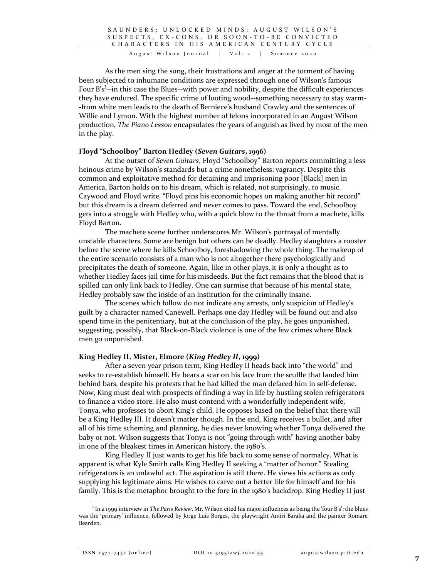SAUNDERS: UNLOCKED MINDS: AUGUST WILSON'S S U S P E C T S , E X - C O N S , O R S O O N - T O - B E C O N V I C T E D CHARACTERS IN HIS AMERICAN CENTURY CYCLE

August Wilson Journal | Vol. 2 | Summer 2020

As the men sing the song, their frustrations and anger at the torment of having been subjected to inhumane conditions are expressed through one of Wilson's famous Four B's<sup>3</sup>--in this case the Blues--with power and nobility, despite the difficult experiences they have endured. The specific crime of looting wood--something necessary to stay warm- -from white men leads to the death of Berniece's husband Crawley and the sentences of Willie and Lymon. With the highest number of felons incorporated in an August Wilson production, *The Piano Lesson* encapsulates the years of anguish as lived by most of the men in the play.

## **Floyd "Schoolboy" Barton Hedley (***Seven Guitars***, 1996)**

At the outset of *Seven Guitars*, Floyd "Schoolboy" Barton reports committing a less heinous crime by Wilson's standards but a crime nonetheless: vagrancy. Despite this common and exploitative method for detaining and imprisoning poor [Black] men in America, Barton holds on to his dream, which is related, not surprisingly, to music. Caywood and Floyd write, "Floyd pins his economic hopes on making another hit record" but this dream is a dream deferred and never comes to pass. Toward the end, Schoolboy gets into a struggle with Hedley who, with a quick blow to the throat from a machete, kills Floyd Barton.

The machete scene further underscores Mr. Wilson's portrayal of mentally unstable characters. Some are benign but others can be deadly. Hedley slaughters a rooster before the scene where he kills Schoolboy, foreshadowing the whole thing. The makeup of the entire scenario consists of a man who is not altogether there psychologically and precipitates the death of someone. Again, like in other plays, it is only a thought as to whether Hedley faces jail time for his misdeeds. But the fact remains that the blood that is spilled can only link back to Hedley. One can surmise that because of his mental state, Hedley probably saw the inside of an institution for the criminally insane.

The scenes which follow do not indicate any arrests, only suspicion of Hedley's guilt by a character named Canewell. Perhaps one day Hedley will be found out and also spend time in the penitentiary, but at the conclusion of the play, he goes unpunished, suggesting, possibly, that Black-on-Black violence is one of the few crimes where Black men go unpunished.

## **King Hedley II, Mister, Elmore (***King Hedley II***, 1999)**

After a seven year prison term, King Hedley II heads back into "the world" and seeks to re-establish himself. He bears a scar on his face from the scuffle that landed him behind bars, despite his protests that he had killed the man defaced him in self-defense. Now, King must deal with prospects of finding a way in life by hustling stolen refrigerators to finance a video store. He also must contend with a wonderfully independent wife, Tonya, who professes to abort King's child. He opposes based on the belief that there will be a King Hedley III. It doesn't matter though. In the end, King receives a bullet, and after all of his time scheming and planning, he dies never knowing whether Tonya delivered the baby or not. Wilson suggests that Tonya is not "going through with" having another baby in one of the bleakest times in American history, the 1980's.

King Hedley II just wants to get his life back to some sense of normalcy. What is apparent is what Kyle Smith calls King Hedley II seeking a "matter of honor." Stealing refrigerators is an unlawful act. The aspiration is still there. He views his actions as only supplying his legitimate aims. He wishes to carve out a better life for himself and for his family. This is the metaphor brought to the fore in the 1980's backdrop. King Hedley II just

<sup>3</sup> In a 1999 interview in *The Paris Review*, Mr. Wilson cited his major influences as being the 'four B's': the blues was the 'primary' influence, followed by Jorge Luis Borges, the playwright Amiri Baraka and the painter Romare Bearden.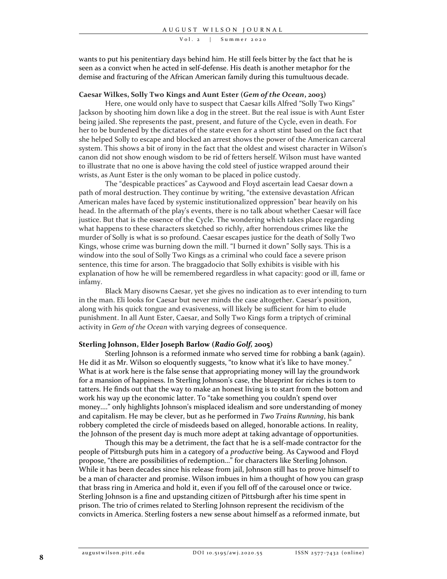#### $Vol. 2$  | Summer 2020

wants to put his penitentiary days behind him. He still feels bitter by the fact that he is seen as a convict when he acted in self-defense. His death is another metaphor for the demise and fracturing of the African American family during this tumultuous decade.

#### **Caesar Wilkes, Solly Two Kings and Aunt Ester (***Gem of the Ocean***, 2003)**

Here, one would only have to suspect that Caesar kills Alfred "Solly Two Kings" Jackson by shooting him down like a dog in the street. But the real issue is with Aunt Ester being jailed. She represents the past, present, and future of the Cycle, even in death. For her to be burdened by the dictates of the state even for a short stint based on the fact that she helped Solly to escape and blocked an arrest shows the power of the American carceral system. This shows a bit of irony in the fact that the oldest and wisest character in Wilson's canon did not show enough wisdom to be rid of fetters herself. Wilson must have wanted to illustrate that no one is above having the cold steel of justice wrapped around their wrists, as Aunt Ester is the only woman to be placed in police custody.

The "despicable practices" as Caywood and Floyd ascertain lead Caesar down a path of moral destruction. They continue by writing, "the extensive devastation African American males have faced by systemic institutionalized oppression" bear heavily on his head. In the aftermath of the play's events, there is no talk about whether Caesar will face justice. But that is the essence of the Cycle. The wondering which takes place regarding what happens to these characters sketched so richly, after horrendous crimes like the murder of Solly is what is so profound. Caesar escapes justice for the death of Solly Two Kings, whose crime was burning down the mill. "I burned it down" Solly says. This is a window into the soul of Solly Two Kings as a criminal who could face a severe prison sentence, this time for arson. The braggadocio that Solly exhibits is visible with his explanation of how he will be remembered regardless in what capacity: good or ill, fame or infamy.

Black Mary disowns Caesar, yet she gives no indication as to ever intending to turn in the man. Eli looks for Caesar but never minds the case altogether. Caesar's position, along with his quick tongue and evasiveness, will likely be sufficient for him to elude punishment. In all Aunt Ester, Caesar, and Solly Two Kings form a triptych of criminal activity in *Gem of the Ocean* with varying degrees of consequence.

## **Sterling Johnson, Elder Joseph Barlow (***Radio Golf,* **2005)**

Sterling Johnson is a reformed inmate who served time for robbing a bank (again). He did it as Mr. Wilson so eloquently suggests, "to know what it's like to have money." What is at work here is the false sense that appropriating money will lay the groundwork for a mansion of happiness. In Sterling Johnson's case, the blueprint for riches is torn to tatters. He finds out that the way to make an honest living is to start from the bottom and work his way up the economic latter. To "take something you couldn't spend over money...." only highlights Johnson's misplaced idealism and sore understanding of money and capitalism. He may be clever, but as he performed in *Two Trains Running*, his bank robbery completed the circle of misdeeds based on alleged, honorable actions. In reality, the Johnson of the present day is much more adept at taking advantage of opportunities.

Though this may be a detriment, the fact that he is a self-made contractor for the people of Pittsburgh puts him in a category of a *productive* being. As Caywood and Floyd propose, "there are possibilities of redemption…" for characters like Sterling Johnson. While it has been decades since his release from jail, Johnson still has to prove himself to be a man of character and promise. Wilson imbues in him a thought of how you can grasp that brass ring in America and hold it, even if you fell off of the carousel once or twice. Sterling Johnson is a fine and upstanding citizen of Pittsburgh after his time spent in prison. The trio of crimes related to Sterling Johnson represent the recidivism of the convicts in America. Sterling fosters a new sense about himself as a reformed inmate, but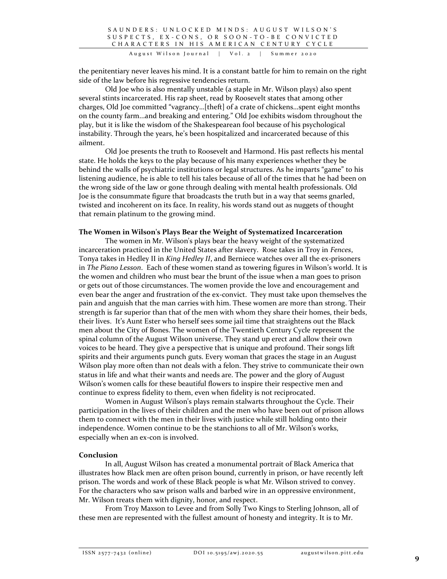August Wilson Journal | Vol. 2 | Summer 2020

the penitentiary never leaves his mind. It is a constant battle for him to remain on the right side of the law before his regressive tendencies return.

Old Joe who is also mentally unstable (a staple in Mr. Wilson plays) also spent several stints incarcerated. His rap sheet, read by Roosevelt states that among other charges, Old Joe committed "vagrancy…[theft] of a crate of chickens…spent eight months on the county farm...and breaking and entering." Old Joe exhibits wisdom throughout the play, but it is like the wisdom of the Shakespearean fool because of his psychological instability. Through the years, he's been hospitalized and incarcerated because of this ailment.

Old Joe presents the truth to Roosevelt and Harmond. His past reflects his mental state. He holds the keys to the play because of his many experiences whether they be behind the walls of psychiatric institutions or legal structures. As he imparts "game" to his listening audience, he is able to tell his tales because of all of the times that he had been on the wrong side of the law or gone through dealing with mental health professionals. Old Joe is the consummate figure that broadcasts the truth but in a way that seems gnarled, twisted and incoherent on its face. In reality, his words stand out as nuggets of thought that remain platinum to the growing mind.

## **The Women in Wilson's Plays Bear the Weight of Systematized Incarceration**

The women in Mr. Wilson's plays bear the heavy weight of the systematized incarceration practiced in the United States after slavery. Rose takes in Troy in *Fences*, Tonya takes in Hedley II in *King Hedley II*, and Berniece watches over all the ex-prisoners in *The Piano Lesson*. Each of these women stand as towering figures in Wilson's world. It is the women and children who must bear the brunt of the issue when a man goes to prison or gets out of those circumstances. The women provide the love and encouragement and even bear the anger and frustration of the ex-convict. They must take upon themselves the pain and anguish that the man carries with him. These women are more than strong. Their strength is far superior than that of the men with whom they share their homes, their beds, their lives. It's Aunt Ester who herself sees some jail time that straightens out the Black men about the City of Bones. The women of the Twentieth Century Cycle represent the spinal column of the August Wilson universe. They stand up erect and allow their own voices to be heard. They give a perspective that is unique and profound. Their songs lift spirits and their arguments punch guts. Every woman that graces the stage in an August Wilson play more often than not deals with a felon. They strive to communicate their own status in life and what their wants and needs are. The power and the glory of August Wilson's women calls for these beautiful flowers to inspire their respective men and continue to express fidelity to them, even when fidelity is not reciprocated.

Women in August Wilson's plays remain stalwarts throughout the Cycle. Their participation in the lives of their children and the men who have been out of prison allows them to connect with the men in their lives with justice while still holding onto their independence. Women continue to be the stanchions to all of Mr. Wilson's works, especially when an ex-con is involved.

## **Conclusion**

In all, August Wilson has created a monumental portrait of Black America that illustrates how Black men are often prison bound, currently in prison, or have recently left prison. The words and work of these Black people is what Mr. Wilson strived to convey. For the characters who saw prison walls and barbed wire in an oppressive environment, Mr. Wilson treats them with dignity, honor, and respect.

From Troy Maxson to Levee and from Solly Two Kings to Sterling Johnson, all of these men are represented with the fullest amount of honesty and integrity. It is to Mr.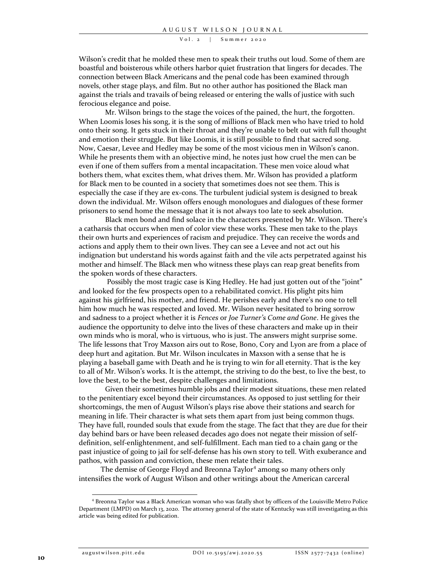$Vol. 2$  | Summer 2020

Wilson's credit that he molded these men to speak their truths out loud. Some of them are boastful and boisterous while others harbor quiet frustration that lingers for decades. The connection between Black Americans and the penal code has been examined through novels, other stage plays, and film. But no other author has positioned the Black man against the trials and travails of being released or entering the walls of justice with such ferocious elegance and poise.

Mr. Wilson brings to the stage the voices of the pained, the hurt, the forgotten. When Loomis loses his song, it is the song of millions of Black men who have tried to hold onto their song. It gets stuck in their throat and they're unable to belt out with full thought and emotion their struggle. But like Loomis, it is still possible to find that sacred song. Now, Caesar, Levee and Hedley may be some of the most vicious men in Wilson's canon. While he presents them with an objective mind, he notes just how cruel the men can be even if one of them suffers from a mental incapacitation. These men voice aloud what bothers them, what excites them, what drives them. Mr. Wilson has provided a platform for Black men to be counted in a society that sometimes does not see them. This is especially the case if they are ex-cons. The turbulent judicial system is designed to break down the individual. Mr. Wilson offers enough monologues and dialogues of these former prisoners to send home the message that it is not always too late to seek absolution.

Black men bond and find solace in the characters presented by Mr. Wilson. There's a catharsis that occurs when men of color view these works. These men take to the plays their own hurts and experiences of racism and prejudice. They can receive the words and actions and apply them to their own lives. They can see a Levee and not act out his indignation but understand his words against faith and the vile acts perpetrated against his mother and himself. The Black men who witness these plays can reap great benefits from the spoken words of these characters.

Possibly the most tragic case is King Hedley. He had just gotten out of the "joint" and looked for the few prospects open to a rehabilitated convict. His plight pits him against his girlfriend, his mother, and friend. He perishes early and there's no one to tell him how much he was respected and loved. Mr. Wilson never hesitated to bring sorrow and sadness to a project whether it is *Fences* or *Joe Turner's Come and Gone*. He gives the audience the opportunity to delve into the lives of these characters and make up in their own minds who is moral, who is virtuous, who is just. The answers might surprise some. The life lessons that Troy Maxson airs out to Rose, Bono, Cory and Lyon are from a place of deep hurt and agitation. But Mr. Wilson inculcates in Maxson with a sense that he is playing a baseball game with Death and he is trying to win for all eternity. That is the key to all of Mr. Wilson's works. It is the attempt, the striving to do the best, to live the best, to love the best, to be the best, despite challenges and limitations.

Given their sometimes humble jobs and their modest situations, these men related to the penitentiary excel beyond their circumstances. As opposed to just settling for their shortcomings, the men of August Wilson's plays rise above their stations and search for meaning in life. Their character is what sets them apart from just being common thugs. They have full, rounded souls that exude from the stage. The fact that they are due for their day behind bars or have been released decades ago does not negate their mission of selfdefinition, self-enlightenment, and self-fulfillment. Each man tied to a chain gang or the past injustice of going to jail for self-defense has his own story to tell. With exuberance and pathos, with passion and conviction, these men relate their tales.

The demise of George Floyd and Breonna Taylor<sup>4</sup> among so many others only intensifies the work of August Wilson and other writings about the American carceral

<sup>4</sup> Breonna Taylor was a Black American woman who was fatally shot by officers of the Louisville Metro Police Department (LMPD) on March 13, 2020. The attorney general of the state of Kentucky was still investigating as this article was being edited for publication.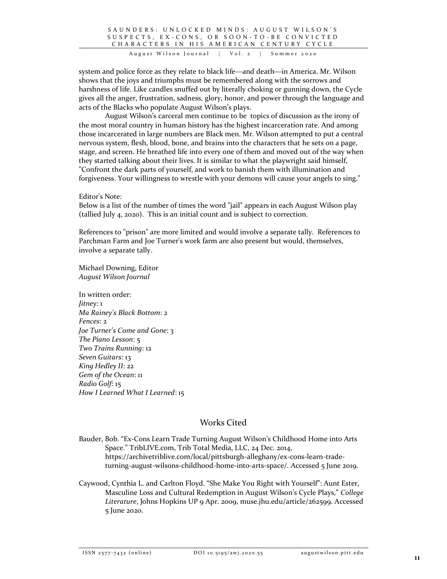## SAUNDERS: UNLOCKED MINDS: AUGUST WILSON'S S U S P E C T S , E X - C O N S , O R S O O N - T O - B E C O N V I C T E D CHARACTERS IN HIS AMERICAN CENTURY CYCLE

August Wilson Journal | Vol. 2 | Summer 2020

system and police force as they relate to black life—and death—in America. Mr. Wilson shows that the joys and triumphs must be remembered along with the sorrows and harshness of life. Like candles snuffed out by literally choking or gunning down, the Cycle gives all the anger, frustration, sadness, glory, honor, and power through the language and acts of the Blacks who populate August Wilson's plays.

August Wilson's carceral men continue to be topics of discussion as the irony of the most moral country in human history has the highest incarceration rate. And among those incarcerated in large numbers are Black men. Mr. Wilson attempted to put a central nervous system, flesh, blood, bone, and brains into the characters that he sets on a page, stage, and screen. He breathed life into every one of them and moved out of the way when they started talking about their lives. It is similar to what the playwright said himself, "Confront the dark parts of yourself, and work to banish them with illumination and forgiveness. Your willingness to wrestle with your demons will cause your angels to sing."

## Editor's Note:

Below is a list of the number of times the word "jail" appears in each August Wilson play (tallied July 4, 2020). This is an initial count and is subject to correction.

References to "prison" are more limited and would involve a separate tally. References to Parchman Farm and Joe Turner's work farm are also present but would, themselves, involve a separate tally.

Michael Downing, Editor *August Wilson Journal*

In written order: *Jitney*: 1 *Ma Rainey's Black Bottom*: 2 *Fences*: 2 *Joe Turner's Come and Gone*: 3 *The Piano Lesson*: 5 *Two Trains Running*: 12 *Seven Guitars*: 13 *King Hedley II*: 22 *Gem of the Ocean*: 11 *Radio Golf*: 15 *How I Learned What I Learned*: 15

# Works Cited

Bauder, Bob. "Ex-Cons Learn Trade Turning August Wilson's Childhood Home into Arts Space." TribLIVE.com, Trib Total Media, LLC, 24 Dec. 2014, https://archivetriblive.com/local/pittsburgh-alleghany/ex-cons-learn-tradeturning-august-wilsons-childhood-home-into-arts-space/. Accessed 5 June 2019.

Caywood, Cynthia L. and Carlton Floyd. "She Make You Right with Yourself": Aunt Ester, Masculine Loss and Cultural Redemption in August Wilson's Cycle Plays," *College Literature*, Johns Hopkins UP 9 Apr. 2009, muse.jhu.edu/article/262599. Accessed 5 June 2020.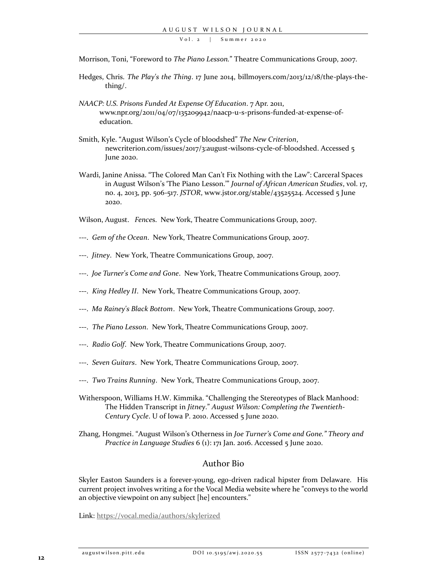V o l. 2 | Summer 2020

Morrison, Toni, "Foreword to *The Piano Lesson.*" Theatre Communications Group, 2007.

- Hedges, Chris. *The Play's the Thing*. 17 June 2014, billmoyers.com/2013/12/18/the-plays-thething/.
- *NAACP: U.S. Prisons Funded At Expense Of Education*. 7 Apr. 2011, www.npr.org/2011/04/07/135209942/naacp-u-s-prisons-funded-at-expense-ofeducation.
- Smith, Kyle. "August Wilson's Cycle of bloodshed" *The New Criterion*, newcriterion.com/issues/2017/3:august-wilsons-cycle-of-bloodshed. Accessed 5 June 2020.
- Wardi, Janine Anissa. "The Colored Man Can't Fix Nothing with the Law": Carceral Spaces in August Wilson's 'The Piano Lesson.'" *Journal of African American Studies*, vol. 17, no. 4, 2013, pp. 506-517. *JSTOR*, www.jstor.org/stable/43525524. Accessed 5 June 2020.

Wilson, August. *Fence*s. New York, Theatre Communications Group, 2007.

- ---. *Gem of the Ocean*. New York, Theatre Communications Group, 2007.
- ---. *Jitney*. New York, Theatre Communications Group, 2007.
- ---. *Joe Turner's Come and Gone*. New York, Theatre Communications Group, 2007.
- ---. *King Hedley II*. New York, Theatre Communications Group, 2007.
- ---. *Ma Rainey's Black Bottom*. New York, Theatre Communications Group, 2007.
- ---. *The Piano Lesson*. New York, Theatre Communications Group, 2007.
- ---. *Radio Golf*. New York, Theatre Communications Group, 2007.
- ---. *Seven Guitars*. New York, Theatre Communications Group, 2007.
- ---. *Two Trains Running*. New York, Theatre Communications Group, 2007.
- Witherspoon, Williams H.W. Kimmika. "Challenging the Stereotypes of Black Manhood: The Hidden Transcript in *Jitney*." *August Wilson: Completing the Twentieth-Century Cycle*. U of Iowa P. 2010. Accessed 5 June 2020.
- Zhang, Hongmei. "August Wilson's Otherness in *Joe Turner's Come and Gone." Theory and Practice in Language Studies* 6 (1): 171 Jan. 2016. Accessed 5 June 2020.

## Author Bio

Skyler Easton Saunders is a forever-young, ego-driven radical hipster from Delaware. His current project involves writing a for the Vocal Media website where he "conveys to the world an objective viewpoint on any subject [he] encounters."

Link:<https://vocal.media/authors/skylerized>